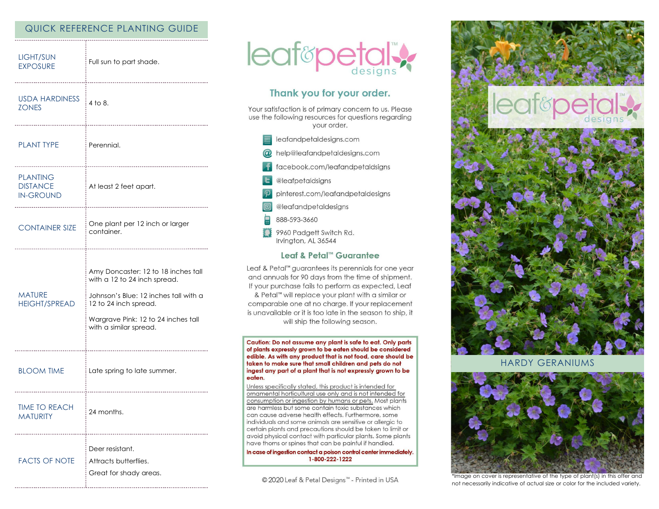# QUICK REFERENCE PLANTING GUIDE

| <b>LIGHT/SUN</b><br><b>EXPOSURE</b>                    | Full sun to part shade.                                                                                                                                                                                |
|--------------------------------------------------------|--------------------------------------------------------------------------------------------------------------------------------------------------------------------------------------------------------|
| <b>USDA HARDINESS</b><br><b>ZONES</b>                  | 4 to 8.                                                                                                                                                                                                |
| <b>PLANT TYPE</b>                                      | -----------------<br>: Perennial.                                                                                                                                                                      |
| <b>PLANTING</b><br><b>DISTANCE</b><br><b>IN-GROUND</b> | At least 2 feet apart.<br>                                                                                                                                                                             |
| <b>CONTAINER SIZE</b>                                  | One plant per 12 inch or larger<br>container.                                                                                                                                                          |
| <b>MATURE</b><br><b>HEIGHT/SPREAD</b>                  | Amy Doncaster: 12 to 18 inches tall<br>with a 12 to 24 inch spread.<br>Johnson's Blue: 12 inches tall with a<br>12 to 24 inch spread.<br>Wargrave Pink: 12 to 24 inches tall<br>with a similar spread. |
| <b>BLOOM TIME</b>                                      | Late spring to late summer.                                                                                                                                                                            |
| <b>TIME TO REACH</b><br>MATURITY                       | 24 months.                                                                                                                                                                                             |
| <b>FACTS OF NOTE</b>                                   | Deer resistant.<br>Attracts butterflies.<br>Great for shady areas.                                                                                                                                     |



# Thank you for your order.

Your satisfaction is of primary concern to us. Please use the following resources for questions regarding your order.

- $\equiv$  leafandpetaldesigns.com @ help@leafandpetaldesigns.com
	- facebook.com/leafandpetaldsigns
- **L** @leafpetaldsigns
- pinterest.com/leafandpetaldesigns
- @leafandpetaldesigns
- 888-593-3660
- \$\$ 9960 Padgett Switch Rd. Irvington, AL 36544

## Leaf & Petal™ Guarantee

Leaf & Petal™ guarantees its perennials for one year and annuals for 90 days from the time of shipment. If your purchase fails to perform as expected, Leaf & Petal<sup>™</sup> will replace your plant with a similar or comparable one at no charge. If your replacement is unavailable or it is too late in the season to ship, it will ship the following season.

Caution: Do not assume any plant is safe to eat. Only parts of plants expressly grown to be eaten should be considered edible. As with any product that is not food, care should be taken to make sure that small children and pets do not ingest any part of a plant that is not expressly grown to be eaten.

Unless specifically stated, this product is intended for ornamental horticultural use only and is not intended for consumption or ingestion by humans or pets. Most plants are harmless but some contain toxic substances which can cause adverse health effects. Furthermore, some individuals and some animals are sensitive or allergic to certain plants and precautions should be taken to limit or avoid physical contact with particular plants. Some plants have thorns or spines that can be painful if handled.

In case of ingestion contact a poison control center immediately. 1-800-222-1222

© 2020 Leaf & Petal Designs™ - Printed in USA



**HARDY GERANIUMS** 



\*Image on cover is representative of the type of plant(s) in this offer and not necessarily indicative of actual size or color for the included variety.